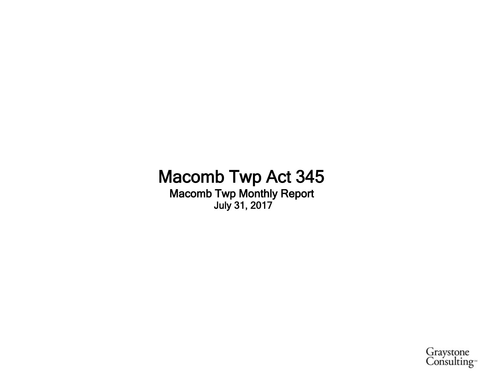## **Macomb Twp Act 345 Macomb Twp Monthly Report July 31, 2017**

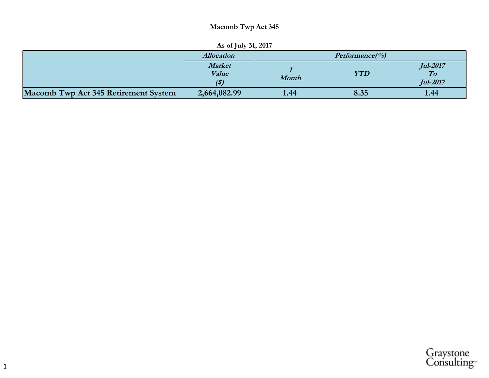### **Macomb Twp Act 345**

| As of July 31, 2017                  |                                |                    |                                                               |      |  |  |  |  |
|--------------------------------------|--------------------------------|--------------------|---------------------------------------------------------------|------|--|--|--|--|
|                                      | <b>Allocation</b>              | $Performance(\% )$ |                                                               |      |  |  |  |  |
|                                      | <b>Market</b><br>Value<br>(\$) | <b>Month</b>       | <b>Jul-2017</b><br><b>YTD</b><br>$\bm{To}$<br><b>Jul-2017</b> |      |  |  |  |  |
| Macomb Twp Act 345 Retirement System | 2,664,082.99                   | 1.44               | 8.35                                                          | 1.44 |  |  |  |  |

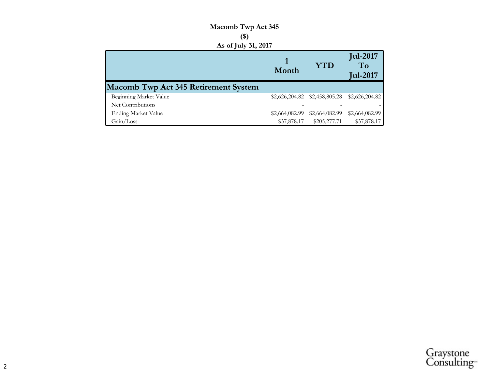### Macomb Twp Act 345  $(\$)$ As of July 31, 2017

|                                             | Month          | <b>YTD</b>     | <b>Jul-2017</b><br>To<br><b>Jul-2017</b>        |  |
|---------------------------------------------|----------------|----------------|-------------------------------------------------|--|
| <b>Macomb Twp Act 345 Retirement System</b> |                |                |                                                 |  |
| Beginning Market Value                      |                |                | $$2,626,204.82$ $$2,458,805.28$ $$2,626,204.82$ |  |
| Net Contributions                           |                |                |                                                 |  |
| <b>Ending Market Value</b>                  | \$2,664,082.99 | \$2,664,082.99 | \$2,664,082.99                                  |  |
| Gain/Loss                                   | \$37,878.17    | \$205,277.71   | \$37,878.17                                     |  |

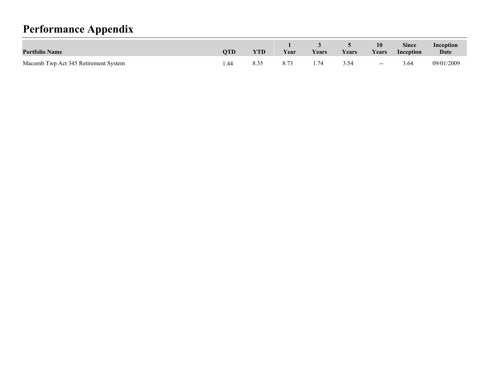# **Performance Appendix**

| <b>Portfolio Name</b>                | OTD  | <b>YTD</b> | Year | <b>Vears</b> | Years | 10<br>Years                           | Since<br>Inception | Inception<br>Date |
|--------------------------------------|------|------------|------|--------------|-------|---------------------------------------|--------------------|-------------------|
| Macomb Twp Act 345 Retirement System | 1.44 |            |      |              | 3 54  | $\hspace{0.05cm}$ – $\hspace{0.05cm}$ | 3.64               | 09/01/2009        |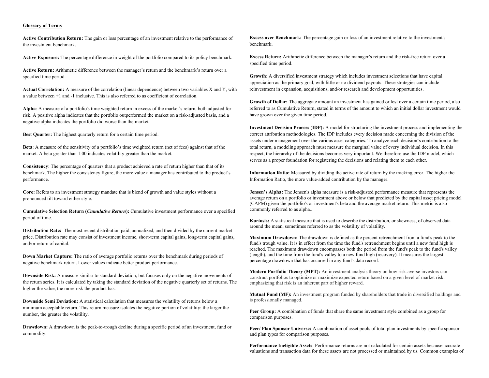#### **Glossary of Terms**

**Active Contribution Return:** The gain or loss percentage of an investment relative to the performance of the investment benchmark.

**Active Exposure:** The percentage difference in weight of the portfolio compared to its policy benchmark.

**Active Return:** Arithmetic difference between the manager's return and the benchmark's return over a specified time period.

**Actual Correlation:** A measure of the correlation (linear dependence) between two variables X and Y, with a value between +1 and -1 inclusive. This is also referred to as coefficient of correlation.

**Alpha**: A measure of a portfolio's time weighted return in excess of the market's return, both adjusted for risk. A positive alpha indicates that the portfolio outperformed the market on a risk-adjusted basis, and a negative alpha indicates the portfolio did worse than the market.

**Best Quarter:** The highest quarterly return for a certain time period.

**Beta**: A measure of the sensitivity of a portfolio's time weighted return (net of fees) against that of the market. A beta greater than 1.00 indicates volatility greater than the market.

**Consistency**: The percentage of quarters that a product achieved a rate of return higher than that of its benchmark. The higher the consistency figure, the more value a manager has contributed to the product's performance.

**Core:** Refers to an investment strategy mandate that is blend of growth and value styles without a pronounced tilt toward either style.

**Cumulative Selection Return (***Cumulative Return***):** Cumulative investment performance over a specified period of time.

**Distribution Rate:** The most recent distribution paid, annualized, and then divided by the current market price. Distribution rate may consist of investment income, short-term capital gains, long-term capital gains, and/or return of capital.

**Down Market Capture:** The ratio of average portfolio returns over the benchmark during periods of negative benchmark return. Lower values indicate better product performance.

**Downside Risk:** A measure similar to standard deviation, but focuses only on the negative movements of the return series. It is calculated by taking the standard deviation of the negative quarterly set of returns. The higher the value, the more risk the product has.

**Downside Semi Deviation:** A statistical calculation that measures the volatility of returns below a minimum acceptable return. This return measure isolates the negative portion of volatility: the larger the number, the greater the volatility.

**Drawdown:** A drawdown is the peak-to-trough decline during a specific period of an investment, fund or commodity.

**Excess over Benchmark:** The percentage gain or loss of an investment relative to the investment's benchmark.

**Excess Return:** Arithmetic difference between the manager's return and the risk-free return over a specified time period.

**Growth**: A diversified investment strategy which includes investment selections that have capital appreciation as the primary goal, with little or no dividend payouts. These strategies can include reinvestment in expansion, acquisitions, and/or research and development opportunities.

**Growth of Dollar:** The aggregate amount an investment has gained or lost over a certain time period, also referred to as Cumulative Return, stated in terms of the amount to which an initial dollar investment would have grown over the given time period.

**Investment Decision Process** (**IDP):** A model for structuring the investment process and implementing the correct attribution methodologies. The IDP includes every decision made concerning the division of the assets under management over the various asset categories. To analyze each decision's contribution to the total return, a modeling approach must measure the marginal value of every individual decision. In this respect, the hierarchy of the decisions becomes very important. We therefore use the IDP model, which serves as a proper foundation for registering the decisions and relating them to each other.

**Information Ratio:** Measured by dividing the active rate of return by the tracking error. The higher the Information Ratio, the more value-added contribution by the manager.

**Jensen's Alpha:** The Jensen's alpha measure is a risk-adjusted performance measure that represents the average return on a portfolio or investment above or below that predicted by the capital asset pricing model (CAPM) given the portfolio's or investment's beta and the average market return. This metric is also commonly referred to as alpha..

**Kurtosis:** A statistical measure that is used to describe the distribution, or skewness, of observed data around the mean, sometimes referred to as the volatility of volatility.

**Maximum Drawdown:** The drawdown is defined as the percent retrenchment from a fund's peak to the fund's trough value. It is in effect from the time the fund's retrenchment begins until a new fund high is reached. The maximum drawdown encompasses both the period from the fund's peak to the fund's valley (length), and the time from the fund's valley to a new fund high (recovery). It measures the largest percentage drawdown that has occurred in any fund's data record.

**Modern Portfolio Theory (MPT):** An investment analysis theory on how risk-averse investors can construct portfolios to optimize or maximize expected return based on a given level of market risk, emphasizing that risk is an inherent part of higher reward.

**Mutual Fund (MF):** An investment program funded by shareholders that trade in diversified holdings and is professionally managed.

**Peer Group:** A combination of funds that share the same investment style combined as a group for comparison purposes.

**Peer/ Plan Sponsor Universe:** A combination of asset pools of total plan investments by specific sponsor and plan types for comparison purposes.

**Performance Ineligible Assets**: Performance returns are not calculated for certain assets because accurate valuations and transaction data for these assets are not processed or maintained by us. Common examples of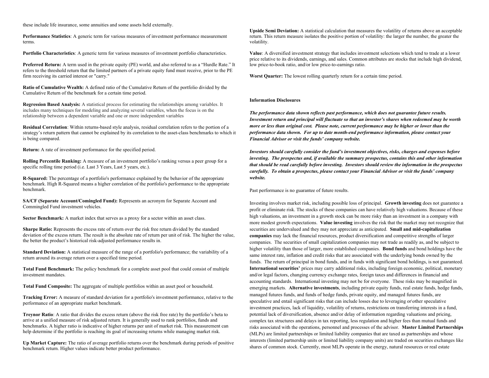these include life insurance, some annuities and some assets held externally.

**Performance Statistics**: A generic term for various measures of investment performance measurement terms.

**Portfolio Characteristics**: A generic term for various measures of investment portfolio characteristics.

**Preferred Return:** A term used in the private equity (PE) world, and also referred to as a "Hurdle Rate." It refers to the threshold return that the limited partners of a private equity fund must receive, prior to the PE firm receiving its carried interest or "carry."

**Ratio of Cumulative Wealth:** A defined ratio of the Cumulative Return of the portfolio divided by the Cumulative Return of the benchmark for a certain time period.

**Regression Based Analysis:** A statistical process for estimating the relationships among variables. It includes many techniques for modeling and analyzing several variables, when the focus is on the relationship between a dependent variable and one or more independent variables

**Residual Correlation**: Within returns-based style analysis, residual correlation refers to the portion of a strategy's return pattern that cannot be explained by its correlation to the asset-class benchmarks to which it is being compared.

**Return:** A rate of investment performance for the specified period.

**Rolling Percentile Ranking:** A measure of an investment portfolio's ranking versus a peer group for a specific rolling time period (i.e. Last 3 Years, Last 5 years, etc.).

**R-Squared:** The percentage of a portfolio's performance explained by the behavior of the appropriate benchmark. High R-Squared means a higher correlation of the portfolio's performance to the appropriate benchmark.

**SA/CF (Separate Account/Comingled Fund):** Represents an acronym for Separate Account and Commingled Fund investment vehicles.

**Sector Benchmark:** A market index that serves as a proxy for a sector within an asset class.

**Sharpe Ratio:** Represents the excess rate of return over the risk free return divided by the standard deviation of the excess return. The result is the absolute rate of return per unit of risk. The higher the value, the better the product's historical risk-adjusted performance results in.

**Standard Deviation:** A statistical measure of the range of a portfolio's performance; the variability of a return around its average return over a specified time period.

**Total Fund Benchmark:** The policy benchmark for a complete asset pool that could consist of multiple investment mandates.

**Total Fund Composite:** The aggregate of multiple portfolios within an asset pool or household.

**Tracking Error:** A measure of standard deviation for a portfolio's investment performance, relative to the performance of an appropriate market benchmark.

**Treynor Ratio**: A ratio that divides the excess return (above the risk free rate) by the portfolio's beta to arrive at a unified measure of risk adjusted return. It is generally used to rank portfolios, funds and benchmarks. A higher ratio is indicative of higher returns per unit of market risk. This measurement can help determine if the portfolio is reaching its goal of increasing returns while managing market risk.

**Up Market Capture:** The ratio of average portfolio returns over the benchmark during periods of positive benchmark return. Higher values indicate better product performance.

**Upside Semi Deviation:** A statistical calculation that measures the volatility of returns above an acceptable return. This return measure isolates the positive portion of volatility: the larger the number, the greater the volatility.

**Value**: A diversified investment strategy that includes investment selections which tend to trade at a lower price relative to its dividends, earnings, and sales. Common attributes are stocks that include high dividend, low price-to-book ratio, and/or low price-to-earnings ratio.

**Worst Quarter:** The lowest rolling quarterly return for a certain time period.

#### **Information Disclosures**

*The performance data shown reflects past performance, which does not guarantee future results. Investment return and principal will fluctuate so that an investor's shares when redeemed may be worth more or less than original cost. Please note, current performance may be higher or lower than the performance data shown. For up to date month-end performance information, please contact your Financial Advisor or visit the funds' company website.*

*Investors should carefully consider the fund's investment objectives, risks, charges and expenses before investing. The prospectus and, if available the summary prospectus, contains this and other information that should be read carefully before investing. Investors should review the information in the prospectus carefully. To obtain a prospectus, please contact your Financial Advisor or visit the funds' company website.*

Past performance is no guarantee of future results.

Investing involves market risk, including possible loss of principal. **Growth investing** does not guarantee a profit or eliminate risk. The stocks of these companies can have relatively high valuations. Because of these high valuations, an investment in a growth stock can be more risky than an investment in a company with more modest growth expectations. **Value investing** involves the risk that the market may not recognize that securities are undervalued and they may not appreciate as anticipated. **Small and mid-capitalization companies** may lack the financial resources, product diversification and competitive strengths of larger companies. The securities of small capitalization companies may not trade as readily as, and be subject to higher volatility than those of larger, more established companies. **Bond funds** and bond holdings have the same interest rate, inflation and credit risks that are associated with the underlying bonds owned by the funds. The return of principal in bond funds, and in funds with significant bond holdings, is not guaranteed. **International securities'** prices may carry additional risks, including foreign economic, political, monetary and/or legal factors, changing currency exchange rates, foreign taxes and differences in financial and accounting standards. International investing may not be for everyone. These risks may be magnified in emerging markets. **Alternative investments**, including private equity funds, real estate funds, hedge funds, managed futures funds, and funds of hedge funds, private equity, and managed futures funds, are speculative and entail significant risks that can include losses due to leveraging or\other speculative investment practices, lack of liquidity, volatility of returns, restrictions on transferring interests in a fund, potential lack of diversification, absence and/or delay of information regarding valuations and pricing, complex tax structures and delays in tax reporting, less regulation and higher fees than mutual funds and risks associated with the operations, personnel and processes of the advisor. **Master Limited Partnerships** (MLPs) are limited partnerships or limited liability companies that are taxed as partnerships and whose interests (limited partnership units or limited liability company units) are traded on securities exchanges like shares of common stock. Currently, most MLPs operate in the energy, natural resources or real estate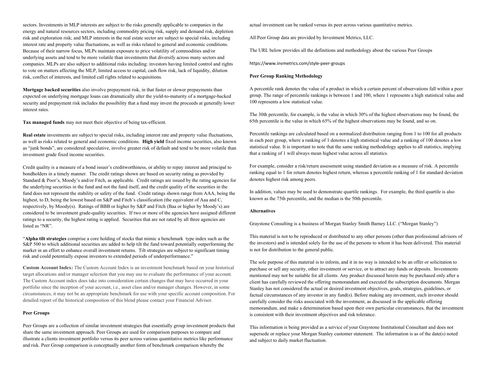sectors. Investments in MLP interests are subject to the risks generally applicable to companies in the energy and natural resources sectors, including commodity pricing risk, supply and demand risk, depletion risk and exploration risk; and MLP interests in the real estate sector are subject to special risks, including interest rate and property value fluctuations, as well as risks related to general and economic conditions. Because of their narrow focus, MLPs maintain exposure to price volatility of commodities and/or underlying assets and tend to be more volatile than investments that diversify across many sectors and companies. MLPs are also subject to additional risks including: investors having limited control and rights to vote on matters affecting the MLP, limited access to capital, cash flow risk, lack of liquidity, dilution risk, conflict of interests, and limited call rights related to acquisitions.

**Mortgage backed securities** also involve prepayment risk, in that faster or slower prepayments than expected on underlying mortgage loans can dramatically alter the yield-to-maturity of a mortgage-backed security and prepayment risk includes the possibility that a fund may invest the proceeds at generally lower interest rates.

**Tax managed funds** may not meet their objective of being tax-efficient.

**Real estate** investments are subject to special risks, including interest rate and property value fluctuations, as well as risks related to general and economic conditions. **High yield** fixed income securities, also known as "junk bonds", are considered speculative, involve greater risk of default and tend to be more volatile than investment grade fixed income securities.

Credit quality is a measure of a bond issuer's creditworthiness, or ability to repay interest and principal to bondholders in a timely manner. The credit ratings shown are based on security rating as provided by Standard & Poor's, Moody's and/or Fitch, as applicable. Credit ratings are issued by the rating agencies for the underlying securities in the fund and not the fund itself, and the credit quality of the securities in the fund does not represent the stability or safety of the fund. Credit ratings shown range from AAA, being the highest, to D, being the lowest based on S&P and Fitch's classification (the equivalent of Aaa and C, respectively, by Moody(s). Ratings of BBB or higher by S&P and Fitch (Baa or higher by Moody's) are considered to be investment grade-quality securities. If two or more of the agencies have assigned different ratings to a security, the highest rating is applied. Securities that are not rated by all three agencies are listed as "NR".

"**Alpha tilt strategies** comprise a core holding of stocks that mimic a benchmark type index such as the S&P 500 to which additional securities are added to help tilt the fund toward potentially outperforming the market in an effort to enhance overall investment returns. Tilt strategies are subject to significant timing risk and could potentially expose investors to extended periods of underperformance."

**Custom Account Index:** The Custom Account Index is an investment benchmark based on your historical target allocations and/or manager selection that you may use to evaluate the performance of your account. The Custom Account index does take into consideration certain changes that may have occurred in your portfolio since the inception of your account, i.e., asset class and/or manager changes. However, in some circumstances, it may not be an appropriate benchmark for use with your specific account composition. For detailed report of the historical composition of this blend please contact your Financial Advisor.

#### **Peer Groups**

Peer Groups are a collection of similar investment strategies that essentially group investment products that share the same investment approach. Peer Groups are used for comparison purposes to compare and illustrate a clients investment portfolio versus its peer across various quantitative metrics like performance and risk. Peer Group comparison is conceptually another form of benchmark comparison whereby the

actual investment can be ranked versus its peer across various quantitative metrics.

All Peer Group data are provided by Investment Metrics, LLC.

The URL below provides all the definitions and methodology about the various Peer Groups

https://www.invmetrics.com/style-peer-groups

#### **Peer Group Ranking Methodology**

A percentile rank denotes the value of a product in which a certain percent of observations fall within a peer group. The range of percentile rankings is between 1 and 100, where 1 represents a high statistical value and 100 represents a low statistical value.

The 30th percentile, for example, is the value in which 30% of the highest observations may be found, the 65th percentile is the value in which 65% of the highest observations may be found, and so on.

Percentile rankings are calculated based on a normalized distribution ranging from 1 to 100 for all products in each peer group, where a ranking of 1 denotes a high statistical value and a ranking of 100 denotes a low statistical value. It is important to note that the same ranking methodology applies to all statistics, implying that a ranking of 1 will always mean highest value across all statistics.

For example, consider a risk/return assessment using standard deviation as a measure of risk. A percentile ranking equal to 1 for return denotes highest return, whereas a percentile ranking of 1 for standard deviation denotes highest risk among peers.

In addition, values may be used to demonstrate quartile rankings. For example, the third quartile is also known as the 75th percentile, and the median is the 50th percentile.

#### **Alternatives**

Graystone Consulting is a business of Morgan Stanley Smith Barney LLC. ("Morgan Stanley")

This material is not to be reproduced or distributed to any other persons (other than professional advisors of the investors) and is intended solely for the use of the persons to whom it has been delivered. This material is not for distribution to the general public.

The sole purpose of this material is to inform, and it in no way is intended to be an offer or solicitation to purchase or sell any security, other investment or service, or to attract any funds or deposits. Investments mentioned may not be suitable for all clients. Any product discussed herein may be purchased only after a client has carefully reviewed the offering memorandum and executed the subscription documents. Morgan Stanley has not considered the actual or desired investment objectives, goals, strategies, guidelines, or factual circumstances of any investor in any fund(s). Before making any investment, each investor should carefully consider the risks associated with the investment, as discussed in the applicable offering memorandum, and make a determination based upon their own particular circumstances, that the investment is consistent with their investment objectives and risk tolerance.

This information is being provided as a service of your Graystone Institutional Consultant and does not supersede or replace your Morgan Stanley customer statement. The information is as of the date(s) noted and subject to daily market fluctuation.